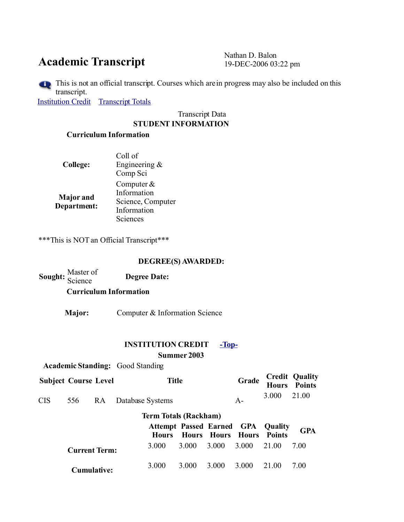# Academic Transcript Nathan D. Balon<br>19-DEC-2006 03

19-DEC-2006 03:22 pm

This is not an official transcript. Courses which are in progress may also be included on this transcript.

[Institution Credit](https://web-sis.umd.umich.edu/pls/prod/bwskotrn.P_ViewTran#insti_credit) [Transcript Totals](https://web-sis.umd.umich.edu/pls/prod/bwskotrn.P_ViewTran#trans_totals)

#### Transcript Data **STUDENT INFORMATION**

### **Curriculum Information**

| <b>College:</b>                 | Coll of<br>Engineering $\&$<br>Comp Sci                                     |
|---------------------------------|-----------------------------------------------------------------------------|
| <b>Major</b> and<br>Department: | Computer $&$<br>Information<br>Science, Computer<br>Information<br>Sciences |

\*\*\*This is NOT an Official Transcript\*\*\*

#### **DEGREE(S) AWARDED:**

| <b>Curriculum Information</b> |                     |
|-------------------------------|---------------------|
|                               |                     |
| Sought: Master of             | <b>Degree Date:</b> |

**Major:** Computer & Information Science

## **INSTITUTION CREDIT [-Top-](https://web-sis.umd.umich.edu/pls/prod/bwskotrn.P_ViewTran#top)**

**Summer 2003**

|                              |                      |    | <b>Academic Standing:</b> Good Standing |                                                          |             |                          |       |               |                                        |
|------------------------------|----------------------|----|-----------------------------------------|----------------------------------------------------------|-------------|--------------------------|-------|---------------|----------------------------------------|
| <b>Subject Course Level</b>  |                      |    |                                         | <b>Title</b>                                             |             |                          | Grade |               | <b>Credit Quality<br/>Hours Points</b> |
| <b>CIS</b>                   | 556                  | RA | Database Systems                        |                                                          |             |                          | $A-$  | 3.000         | 21.00                                  |
| <b>Term Totals (Rackham)</b> |                      |    |                                         |                                                          |             |                          |       |               |                                        |
|                              |                      |    |                                         | <b>Attempt Passed Earned GPA Quality</b><br><b>Hours</b> |             | <b>Hours Hours Hours</b> |       | <b>Points</b> | <b>GPA</b>                             |
|                              | <b>Current Term:</b> |    |                                         | 3.000                                                    | 3.000 3.000 |                          | 3.000 | 21.00         | 7.00                                   |
|                              | <b>Cumulative:</b>   |    |                                         | 3.000                                                    | 3.000       | 3 000                    | 3.000 | 21.00         | 700                                    |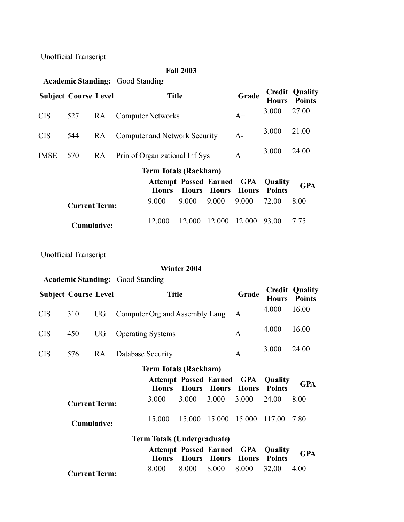## **Fall 2003 Academic Standing:** Good Standing **Subject Course Level Title Grade Credit Hours Points Quality** CIS <sup>527</sup> RA Computer Networks A+ 3.000 27.00 CIS <sup>544</sup> RA Computer and Network Security A- 3.000 21.00 IMSE 570 RA Prin of Organizational Inf Sys A 3.000 24.00 **Term Totals (Rackham) Attempt Passed Earned GPA Hours Hours Hours Hours Points GPA Quality Current Term:** 9.000 9.000 9.000 9.000 72.00 8.00 **Cumulative:** 12.000 12.000 12.000 12.000 93.00 7.75

Unofficial Transcript

#### **Winter 2004**

**Academic Standing:** Good Standing

| <b>Subject Course Level</b>  |                      |           |                                                        | <b>Title</b>                                 |                                 |                          | Grade      | <b>Hours</b>             | <b>Credit Quality</b><br><b>Points</b> |  |
|------------------------------|----------------------|-----------|--------------------------------------------------------|----------------------------------------------|---------------------------------|--------------------------|------------|--------------------------|----------------------------------------|--|
| <b>CIS</b>                   | 310                  | <b>UG</b> |                                                        | Computer Org and Assembly Lang               |                                 |                          | A          | 4.000                    | 16.00                                  |  |
| <b>CIS</b>                   | 450                  | <b>UG</b> | <b>Operating Systems</b>                               |                                              |                                 |                          | A          | 4.000                    | 16.00                                  |  |
| <b>CIS</b>                   | 576                  | RA        | Database Security                                      |                                              |                                 |                          | A          | 3.000                    | 24.00                                  |  |
| <b>Term Totals (Rackham)</b> |                      |           |                                                        |                                              |                                 |                          |            |                          |                                        |  |
|                              |                      |           | <b>Attempt Passed Earned GPA</b><br><b>Hours</b> Hours |                                              | <b>Quality</b><br><b>Points</b> | <b>GPA</b>               |            |                          |                                        |  |
|                              | <b>Current Term:</b> |           |                                                        | 3.000                                        | 3.000                           | 3.000                    | 3.000      | 24.00                    | 8.00                                   |  |
|                              | <b>Cumulative:</b>   |           |                                                        | 15.000                                       | 15.000 15.000                   |                          | 15.000     | 117.00                   | 7.80                                   |  |
|                              |                      |           |                                                        | <b>Term Totals (Undergraduate)</b>           |                                 |                          |            |                          |                                        |  |
|                              |                      |           |                                                        | <b>Attempt Passed Earned</b><br><b>Hours</b> |                                 | <b>Hours Hours Hours</b> | <b>GPA</b> | Quality<br><b>Points</b> | <b>GPA</b>                             |  |
|                              | <b>Current Term:</b> |           |                                                        | 8.000                                        | 8.000                           | 8.000                    | 8.000      | 32.00                    | 4.00                                   |  |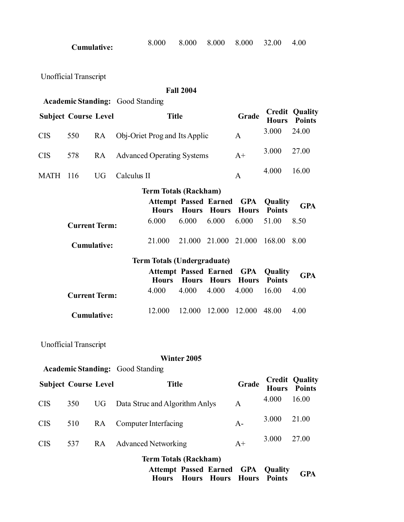| <b>Cumulative:</b> | 8.000 | 8.000 8.000 8.000 32.00 4.00 |  |  |
|--------------------|-------|------------------------------|--|--|
|                    |       |                              |  |  |

|                             |                              |           |                                         |                                              | <b>Fall 2004</b> |              |                            |                          |                                        |  |  |
|-----------------------------|------------------------------|-----------|-----------------------------------------|----------------------------------------------|------------------|--------------|----------------------------|--------------------------|----------------------------------------|--|--|
|                             |                              |           | <b>Academic Standing:</b> Good Standing |                                              |                  |              |                            |                          |                                        |  |  |
| <b>Subject Course Level</b> |                              |           |                                         | <b>Title</b>                                 |                  |              | Grade                      | <b>Hours</b>             | <b>Credit Quality</b><br><b>Points</b> |  |  |
| <b>CIS</b>                  | 550                          | <b>RA</b> |                                         | Obj-Oriet Prog and Its Applic                |                  |              | A                          | 3.000                    | 24.00                                  |  |  |
| <b>CIS</b>                  | 578                          | <b>RA</b> |                                         | <b>Advanced Operating Systems</b>            |                  |              | $A+$                       | 3.000                    | 27.00                                  |  |  |
| <b>MATH</b>                 | 116                          | <b>UG</b> | Calculus II                             |                                              |                  |              | A                          | 4.000                    | 16.00                                  |  |  |
|                             |                              |           |                                         | <b>Term Totals (Rackham)</b>                 |                  |              |                            |                          |                                        |  |  |
|                             |                              |           |                                         | <b>Attempt Passed Earned</b><br><b>Hours</b> | <b>Hours</b>     | <b>Hours</b> | <b>GPA</b><br><b>Hours</b> | Quality<br><b>Points</b> | <b>GPA</b>                             |  |  |
|                             | <b>Current Term:</b>         |           |                                         | 6.000                                        | 6.000            | 6.000        | 6.000                      | 51.00                    | 8.50                                   |  |  |
|                             | <b>Cumulative:</b>           |           |                                         | 21.000                                       | 21.000           | 21.000       | 21.000                     | 168.00                   | 8.00                                   |  |  |
|                             |                              |           |                                         | <b>Term Totals (Undergraduate)</b>           |                  |              |                            |                          |                                        |  |  |
|                             |                              |           |                                         | <b>Attempt Passed Earned</b><br><b>Hours</b> | <b>Hours</b>     | <b>Hours</b> | <b>GPA</b><br><b>Hours</b> | Quality<br><b>Points</b> | <b>GPA</b>                             |  |  |
|                             | <b>Current Term:</b>         |           |                                         | 4.000                                        | 4.000            | 4.000        | 4.000                      | 16.00                    | 4.00                                   |  |  |
|                             | <b>Cumulative:</b>           |           |                                         | 12.000                                       | 12.000           | 12.000       | 12.000                     | 48.00                    | 4.00                                   |  |  |
|                             | <b>Unofficial Transcript</b> |           |                                         |                                              |                  |              |                            |                          |                                        |  |  |
|                             | Winter 2005                  |           |                                         |                                              |                  |              |                            |                          |                                        |  |  |
|                             |                              |           | <b>Academic Standing:</b> Good Standing |                                              |                  |              |                            |                          |                                        |  |  |
|                             | <b>Subject Course Level</b>  |           |                                         | <b>Title</b>                                 |                  |              | Grade                      | п                        | <b>Credit Quality</b><br>$\sim$ Detain |  |  |

| <b>Subject Course Level</b> |     |           | Title                                                                          | Grade               | <b>Hours</b> | <b>Points</b> |
|-----------------------------|-----|-----------|--------------------------------------------------------------------------------|---------------------|--------------|---------------|
| <b>CIS</b>                  | 350 | UG        | Data Struc and Algorithm Anlys                                                 | A                   | 4.000        | 16.00         |
| <b>CIS</b>                  | 510 | <b>RA</b> | Computer Interfacing                                                           | $A -$               | 3.000        | 21.00         |
| <b>CIS</b>                  | 537 | RA        | <b>Advanced Networking</b>                                                     | $A+$                | 3.000        | 27.00         |
|                             |     |           | <b>Term Totals (Rackham)</b>                                                   |                     |              |               |
|                             |     |           | <b>Attempt Passed Earned GPA Quality</b><br><b>Hours</b> Hours<br><b>Hours</b> | <b>Hours</b> Points |              | <b>GPA</b>    |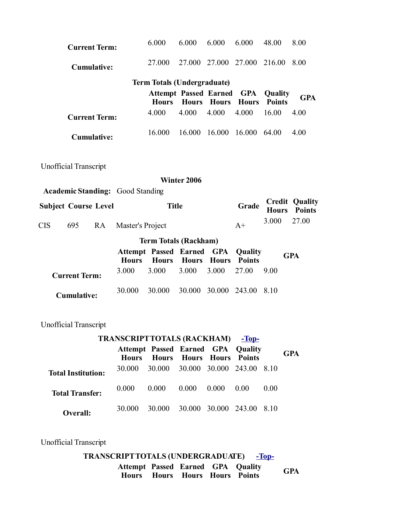| <b>Current Term:</b>                                                                   |                  | 6.000                                            | 6.000        | 6.000                | 6.000                      | 48.00                    | 8.00                                   |  |  |  |
|----------------------------------------------------------------------------------------|------------------|--------------------------------------------------|--------------|----------------------|----------------------------|--------------------------|----------------------------------------|--|--|--|
| <b>Cumulative:</b>                                                                     |                  | 27.000                                           |              | 27.000 27.000 27.000 |                            | 216.00                   | 8.00                                   |  |  |  |
|                                                                                        |                  | <b>Term Totals (Undergraduate)</b>               |              |                      |                            |                          |                                        |  |  |  |
|                                                                                        |                  | <b>Attempt Passed Earned</b><br><b>Hours</b>     | <b>Hours</b> | <b>Hours</b>         | <b>GPA</b><br><b>Hours</b> | Quality<br><b>Points</b> | <b>GPA</b>                             |  |  |  |
| <b>Current Term:</b>                                                                   |                  | 4.000                                            | 4.000        | 4.000                | 4.000                      | 16.00                    | 4.00                                   |  |  |  |
| <b>Cumulative:</b>                                                                     |                  | 16.000                                           | 16.000       | 16.000               | 16.000                     | 64.00                    | 4.00                                   |  |  |  |
| <b>Unofficial Transcript</b><br>Winter 2006<br><b>Academic Standing:</b> Good Standing |                  |                                                  |              |                      |                            |                          |                                        |  |  |  |
| <b>Subject Course Level</b>                                                            |                  | <b>Title</b>                                     |              |                      | Grade                      | <b>Hours</b>             | <b>Credit Quality</b><br><b>Points</b> |  |  |  |
| <b>CIS</b><br>695<br><b>RA</b>                                                         | Master's Project |                                                  |              |                      | $A+$                       | 3.000                    | 27.00                                  |  |  |  |
|                                                                                        |                  | <b>Term Totals (Rackham)</b>                     |              |                      |                            |                          |                                        |  |  |  |
|                                                                                        | <b>Hours</b>     | <b>Attempt Passed Earned GPA</b><br><b>Hours</b> | <b>Hours</b> | <b>Hours</b>         | Quality<br><b>Points</b>   |                          | <b>GPA</b>                             |  |  |  |
| <b>Current Term:</b>                                                                   | 3.000            | 3.000                                            | 3.000        | 3.000                | 27.00                      | 9.00                     |                                        |  |  |  |
| <b>Cumulative:</b>                                                                     | 30.000           | 30.000                                           | 30.000       | 30.000               | 243.00                     | 8.10                     |                                        |  |  |  |

| <b>TRANSCRIPT TOTALS (RACKHAM)</b> -Top- |              |                                                                             |       |       |      |      |            |  |  |
|------------------------------------------|--------------|-----------------------------------------------------------------------------|-------|-------|------|------|------------|--|--|
|                                          | <b>Hours</b> | <b>Attempt Passed Earned GPA Quality</b><br><b>Hours Hours Hours Points</b> |       |       |      |      | <b>GPA</b> |  |  |
| <b>Total Institution:</b>                | 30 000       | 30.000 30.000 30.000 243.00 8.10                                            |       |       |      |      |            |  |  |
| <b>Total Transfer:</b>                   | 0.000        | 0.000                                                                       | 0.000 | 0.000 | 0.00 | 0.00 |            |  |  |
| Overall:                                 | 30.000       | 30.000 30.000 30.000 243.00 8.10                                            |       |       |      |      |            |  |  |

Unofficial Transcript

**TRANSCRIPTTOTALS (UNDERGRADUATE) [-Top-](https://web-sis.umd.umich.edu/pls/prod/bwskotrn.P_ViewTran#top)Attempt Passed Earned GPA Quality Hours Hours Hours Hours Points GPA**